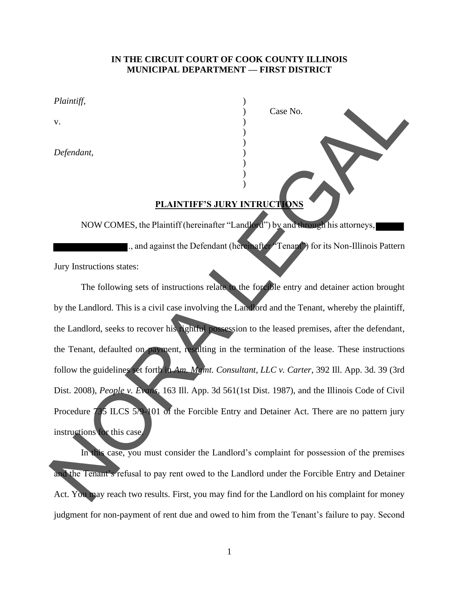## **IN THE CIRCUIT COURT OF COOK COUNTY ILLINOIS MUNICIPAL DEPARTMENT — FIRST DISTRICT**

) Case No.

*Plaintiff,* )

 $\mathbf v$ .  $\qquad \qquad \qquad$  )

*Defendant,* )

## **PLAINTIFF'S JURY INTRUCTIONS**

) )

) ) )

NOW COMES, the Plaintiff (hereinafter "Landlord") by and through his attorneys, ., and against the Defendant (hereinafter "Tenant") for its Non-Illinois Pattern

Jury Instructions states:

The following sets of instructions relate to the forcible entry and detainer action brought by the Landlord. This is a civil case involving the Landlord and the Tenant, whereby the plaintiff, the Landlord, seeks to recover his rightful possession to the leased premises, after the defendant, the Tenant, defaulted on payment, resulting in the termination of the lease. These instructions follow the guidelines set forth in *Am. Mgmt. Consultant, LLC v. Carter*, 392 Ill. App. 3d. 39 (3rd Dist. 2008), *People v. Evans*, 163 Ill. App. 3d 561(1st Dist. 1987), and the Illinois Code of Civil Procedure 735 ILCS 5/9-101 of the Forcible Entry and Detainer Act. There are no pattern jury instructions for this case. Platitudity<br>
V.<br>
Defendant,<br>
(a)<br>
Defendant,<br>
(a)<br>
NOW COMES, the Plaintiff (hereinalter "Langle") by and actions the same properties.<br>
(a)<br>
NOW COMES, the Plaintiff (hereinalter "Langle") by and actions per his actions pe

In this case, you must consider the Landlord's complaint for possession of the premises and the Tenant's refusal to pay rent owed to the Landlord under the Forcible Entry and Detainer Act. You may reach two results. First, you may find for the Landlord on his complaint for money judgment for non-payment of rent due and owed to him from the Tenant's failure to pay. Second